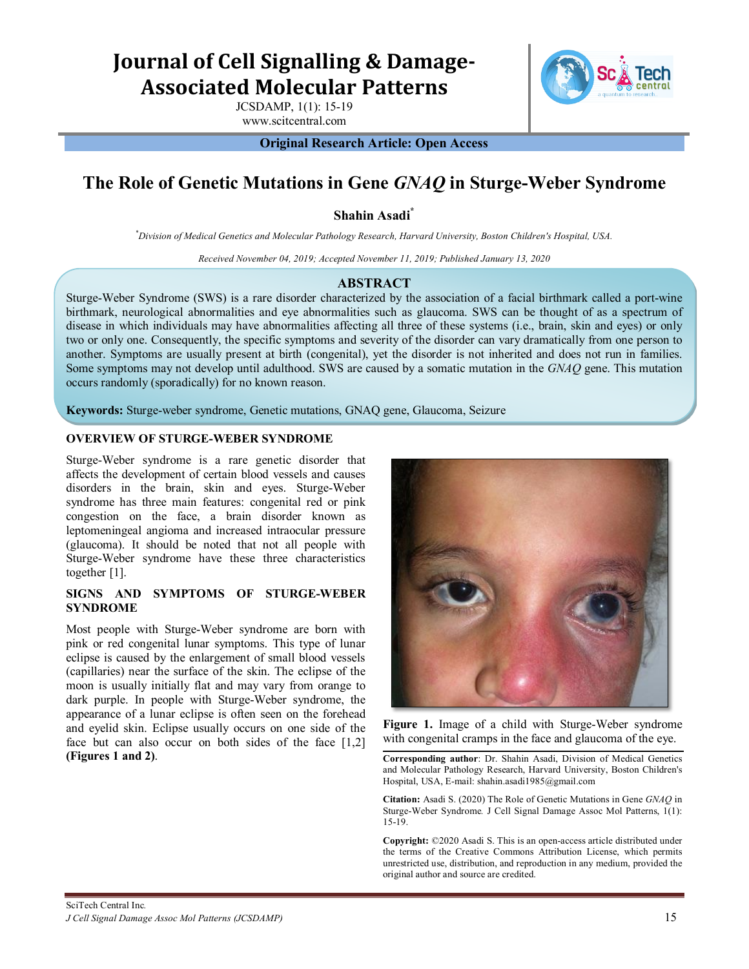# **Journal of Cell Signalling & Damage-Associated Molecular Patterns**

JCSDAMP, 1(1): 15-19 www.scitcentral.com

**Original Research Article: Open Access**

# **The Role of Genetic Mutations in Gene** *GNAQ* **in Sturge-Weber Syndrome**

**Shahin Asadi\***

*\* Division of Medical Genetics and Molecular Pathology Research, Harvard University, Boston Children's Hospital, USA.*

*Received November 04, 2019; Accepted November 11, 2019; Published January 13, 2020*

### **ABSTRACT**

Sturge-Weber Syndrome (SWS) is a rare disorder characterized by the association of a facial birthmark called a port-wine birthmark, neurological abnormalities and eye abnormalities such as glaucoma. SWS can be thought of as a spectrum of disease in which individuals may have abnormalities affecting all three of these systems (i.e., brain, skin and eyes) or only two or only one. Consequently, the specific symptoms and severity of the disorder can vary dramatically from one person to another. Symptoms are usually present at birth (congenital), yet the disorder is not inherited and does not run in families. Some symptoms may not develop until adulthood. SWS are caused by a somatic mutation in the *GNAQ* gene. This mutation occurs randomly (sporadically) for no known reason.

**Keywords:** Sturge-weber syndrome, Genetic mutations, GNAQ gene, Glaucoma, Seizure

#### **OVERVIEW OF STURGE-WEBER SYNDROME**

Sturge-Weber syndrome is a rare genetic disorder that affects the development of certain blood vessels and causes disorders in the brain, skin and eyes. Sturge-Weber syndrome has three main features: congenital red or pink congestion on the face, a brain disorder known as leptomeningeal angioma and increased intraocular pressure (glaucoma). It should be noted that not all people with Sturge-Weber syndrome have these three characteristics together [1].

#### **SIGNS AND SYMPTOMS OF STURGE-WEBER SYNDROME**

Most people with Sturge-Weber syndrome are born with pink or red congenital lunar symptoms. This type of lunar eclipse is caused by the enlargement of small blood vessels (capillaries) near the surface of the skin. The eclipse of the moon is usually initially flat and may vary from orange to dark purple. In people with Sturge-Weber syndrome, the appearance of a lunar eclipse is often seen on the forehead and eyelid skin. Eclipse usually occurs on one side of the face but can also occur on both sides of the face [1,2] **(Figures 1 and 2)**.



**Figure 1.** Image of a child with Sturge-Weber syndrome with congenital cramps in the face and glaucoma of the eye.

**Corresponding author**: Dr. Shahin Asadi, Division of Medical Genetics and Molecular Pathology Research, Harvard University, Boston Children's Hospital, USA, E-mail: shahin.asadi1985@gmail.com

**Citation:** Asadi S. (2020) The Role of Genetic Mutations in Gene *GNAQ* in Sturge-Weber Syndrome*.* J Cell Signal Damage Assoc Mol Patterns, 1(1): 15-19.

**Copyright:** ©2020 Asadi S. This is an open-access article distributed under the terms of the Creative Commons Attribution License, which permits unrestricted use, distribution, and reproduction in any medium, provided the original author and source are credited.

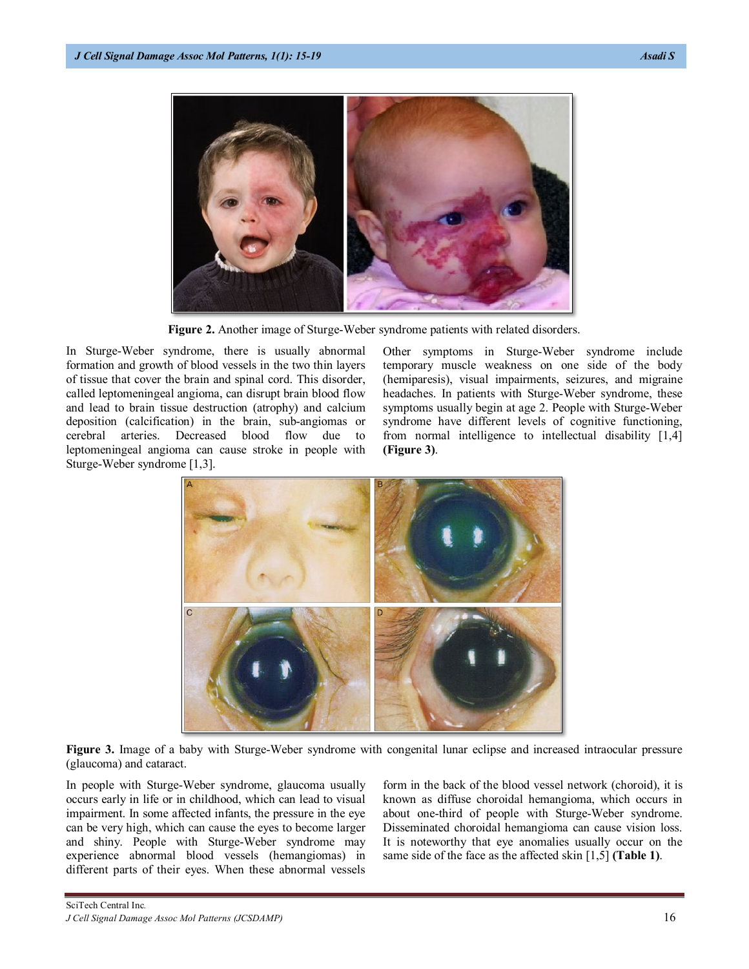

**Figure 2.** Another image of Sturge-Weber syndrome patients with related disorders.

In Sturge-Weber syndrome, there is usually abnormal formation and growth of blood vessels in the two thin layers of tissue that cover the brain and spinal cord. This disorder, called leptomeningeal angioma, can disrupt brain blood flow and lead to brain tissue destruction (atrophy) and calcium deposition (calcification) in the brain, sub-angiomas or cerebral arteries. Decreased blood flow due to leptomeningeal angioma can cause stroke in people with Sturge-Weber syndrome [1,3].

Other symptoms in Sturge-Weber syndrome include temporary muscle weakness on one side of the body (hemiparesis), visual impairments, seizures, and migraine headaches. In patients with Sturge-Weber syndrome, these symptoms usually begin at age 2. People with Sturge-Weber syndrome have different levels of cognitive functioning, from normal intelligence to intellectual disability [1,4] **(Figure 3)**.



**Figure 3.** Image of a baby with Sturge-Weber syndrome with congenital lunar eclipse and increased intraocular pressure (glaucoma) and cataract.

In people with Sturge-Weber syndrome, glaucoma usually occurs early in life or in childhood, which can lead to visual impairment. In some affected infants, the pressure in the eye can be very high, which can cause the eyes to become larger and shiny. People with Sturge-Weber syndrome may experience abnormal blood vessels (hemangiomas) in different parts of their eyes. When these abnormal vessels form in the back of the blood vessel network (choroid), it is known as diffuse choroidal hemangioma, which occurs in about one-third of people with Sturge-Weber syndrome. Disseminated choroidal hemangioma can cause vision loss. It is noteworthy that eye anomalies usually occur on the same side of the face as the affected skin [1,5] **(Table 1)**.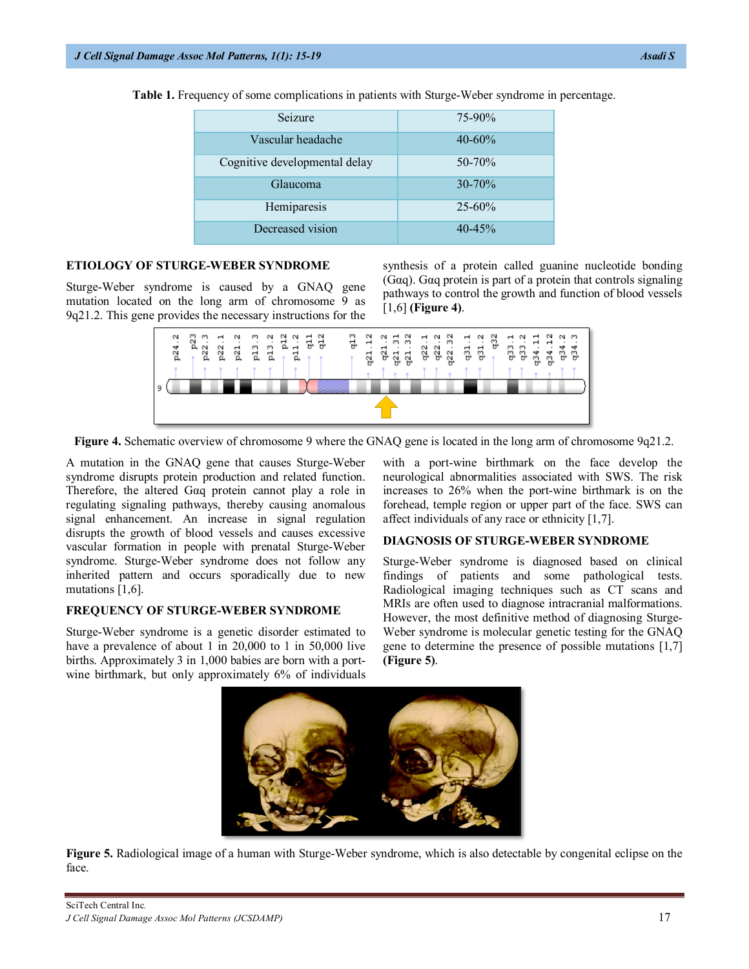| Seizure                       | $75 - 90\%$ |
|-------------------------------|-------------|
| Vascular headache             | $40 - 60\%$ |
| Cognitive developmental delay | $50 - 70%$  |
| Glaucoma                      | $30 - 70\%$ |
| Hemiparesis                   | $25 - 60\%$ |
| Decreased vision              | $40 - 45\%$ |

**Table 1.** Frequency of some complications in patients with Sturge-Weber syndrome in percentage.

## **ETIOLOGY OF STURGE-WEBER SYNDROME**

Sturge-Weber syndrome is caused by a GNAQ gene mutation located on the long arm of chromosome 9 as 9q21.2. This gene provides the necessary instructions for the synthesis of a protein called guanine nucleotide bonding (Gαq). Gαq protein is part of a protein that controls signaling pathways to control the growth and function of blood vessels [1,6] **(Figure 4)**.



**Figure 4.** Schematic overview of chromosome 9 where the GNAQ gene is located in the long arm of chromosome 9q21.2.

A mutation in the GNAQ gene that causes Sturge-Weber syndrome disrupts protein production and related function. Therefore, the altered Gαq protein cannot play a role in regulating signaling pathways, thereby causing anomalous signal enhancement. An increase in signal regulation disrupts the growth of blood vessels and causes excessive vascular formation in people with prenatal Sturge-Weber syndrome. Sturge-Weber syndrome does not follow any inherited pattern and occurs sporadically due to new mutations [1,6].

#### **FREQUENCY OF STURGE-WEBER SYNDROME**

Sturge-Weber syndrome is a genetic disorder estimated to have a prevalence of about 1 in 20,000 to 1 in 50,000 live births. Approximately 3 in 1,000 babies are born with a portwine birthmark, but only approximately 6% of individuals with a port-wine birthmark on the face develop the neurological abnormalities associated with SWS. The risk increases to 26% when the port-wine birthmark is on the forehead, temple region or upper part of the face. SWS can affect individuals of any race or ethnicity [1,7].

#### **DIAGNOSIS OF STURGE-WEBER SYNDROME**

Sturge-Weber syndrome is diagnosed based on clinical findings of patients and some pathological tests. Radiological imaging techniques such as CT scans and MRIs are often used to diagnose intracranial malformations. However, the most definitive method of diagnosing Sturge-Weber syndrome is molecular genetic testing for the GNAQ gene to determine the presence of possible mutations [1,7] **(Figure 5)**.



**Figure 5.** Radiological image of a human with Sturge-Weber syndrome, which is also detectable by congenital eclipse on the face.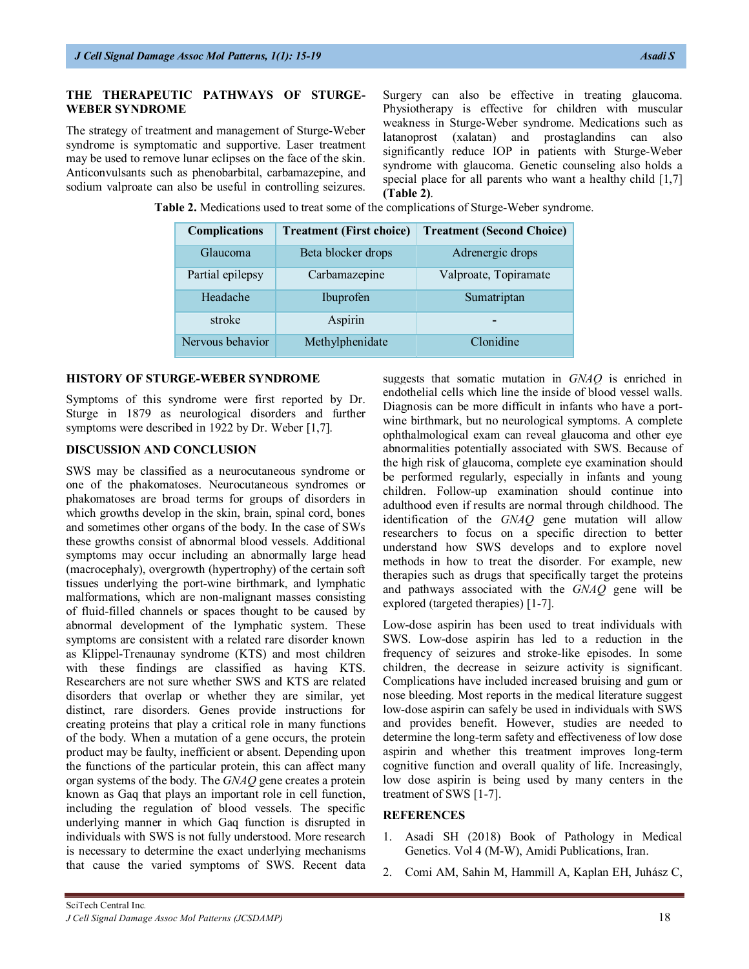# **THE THERAPEUTIC PATHWAYS OF STURGE-WEBER SYNDROME**

The strategy of treatment and management of Sturge-Weber syndrome is symptomatic and supportive. Laser treatment may be used to remove lunar eclipses on the face of the skin. Anticonvulsants such as phenobarbital, carbamazepine, and sodium valproate can also be useful in controlling seizures.

Surgery can also be effective in treating glaucoma. Physiotherapy is effective for children with muscular weakness in Sturge-Weber syndrome. Medications such as latanoprost (xalatan) and prostaglandins can also significantly reduce IOP in patients with Sturge-Weber syndrome with glaucoma. Genetic counseling also holds a special place for all parents who want a healthy child [1,7] **(Table 2)**.

**Table 2.** Medications used to treat some of the complications of Sturge-Weber syndrome.

| <b>Complications</b> | <b>Treatment (First choice)</b> | <b>Treatment (Second Choice)</b> |
|----------------------|---------------------------------|----------------------------------|
| Glaucoma             | Beta blocker drops              | Adrenergic drops                 |
| Partial epilepsy     | Carbamazepine                   | Valproate, Topiramate            |
| Headache             | Ibuprofen                       | Sumatriptan                      |
| stroke               | Aspirin                         |                                  |
| Nervous behavior     | Methylphenidate                 | Clonidine                        |

#### **HISTORY OF STURGE-WEBER SYNDROME**

Symptoms of this syndrome were first reported by Dr. Sturge in 1879 as neurological disorders and further symptoms were described in 1922 by Dr. Weber [1,7].

#### **DISCUSSION AND CONCLUSION**

SWS may be classified as a neurocutaneous syndrome or one of the phakomatoses. Neurocutaneous syndromes or phakomatoses are broad terms for groups of disorders in which growths develop in the skin, brain, spinal cord, bones and sometimes other organs of the body. In the case of SWs these growths consist of abnormal blood vessels. Additional symptoms may occur including an abnormally large head (macrocephaly), overgrowth (hypertrophy) of the certain soft tissues underlying the port-wine birthmark, and lymphatic malformations, which are non-malignant masses consisting of fluid-filled channels or spaces thought to be caused by abnormal development of the lymphatic system. These symptoms are consistent with a related rare disorder known as Klippel-Trenaunay syndrome (KTS) and most children with these findings are classified as having KTS. Researchers are not sure whether SWS and KTS are related disorders that overlap or whether they are similar, yet distinct, rare disorders. Genes provide instructions for creating proteins that play a critical role in many functions of the body. When a mutation of a gene occurs, the protein product may be faulty, inefficient or absent. Depending upon the functions of the particular protein, this can affect many organ systems of the body. The *GNAQ* gene creates a protein known as Gaq that plays an important role in cell function, including the regulation of blood vessels. The specific underlying manner in which Gaq function is disrupted in individuals with SWS is not fully understood. More research is necessary to determine the exact underlying mechanisms that cause the varied symptoms of SWS. Recent data suggests that somatic mutation in *GNAQ* is enriched in endothelial cells which line the inside of blood vessel walls. Diagnosis can be more difficult in infants who have a portwine birthmark, but no neurological symptoms. A complete ophthalmological exam can reveal glaucoma and other eye abnormalities potentially associated with SWS. Because of the high risk of glaucoma, complete eye examination should be performed regularly, especially in infants and young children. Follow-up examination should continue into adulthood even if results are normal through childhood. The identification of the *GNAQ* gene mutation will allow researchers to focus on a specific direction to better understand how SWS develops and to explore novel methods in how to treat the disorder. For example, new therapies such as drugs that specifically target the proteins and pathways associated with the *GNAQ* gene will be explored (targeted therapies) [1-7].

Low-dose aspirin has been used to treat individuals with SWS. Low-dose aspirin has led to a reduction in the frequency of seizures and stroke-like episodes. In some children, the decrease in seizure activity is significant. Complications have included increased bruising and gum or nose bleeding. Most reports in the medical literature suggest low-dose aspirin can safely be used in individuals with SWS and provides benefit. However, studies are needed to determine the long-term safety and effectiveness of low dose aspirin and whether this treatment improves long-term cognitive function and overall quality of life. Increasingly, low dose aspirin is being used by many centers in the treatment of SWS [1-7].

#### **REFERENCES**

- 1. Asadi SH (2018) Book of Pathology in Medical Genetics. Vol 4 (M-W), Amidi Publications, Iran.
- 2. Comi AM, Sahin M, Hammill A, Kaplan EH, Juhász C,